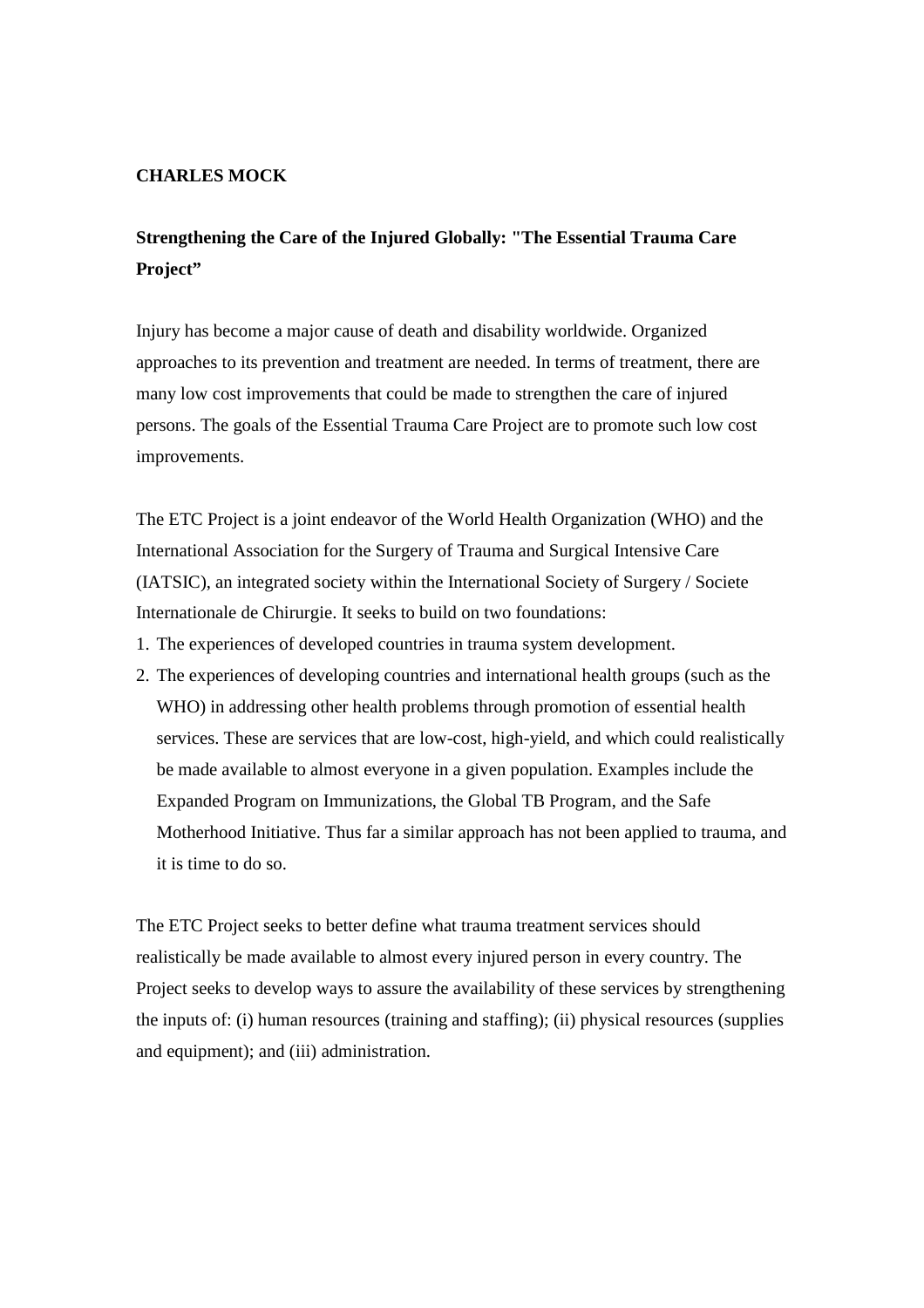## **CHARLES MOCK**

## **Strengthening the Care of the Injured Globally: "The Essential Trauma Care Project"**

Injury has become a major cause of death and disability worldwide. Organized approaches to its prevention and treatment are needed. In terms of treatment, there are many low cost improvements that could be made to strengthen the care of injured persons. The goals of the Essential Trauma Care Project are to promote such low cost improvements.

The ETC Project is a joint endeavor of the World Health Organization (WHO) and the International Association for the Surgery of Trauma and Surgical Intensive Care (IATSIC), an integrated society within the International Society of Surgery / Societe Internationale de Chirurgie. It seeks to build on two foundations:

- 1. The experiences of developed countries in trauma system development.
- 2. The experiences of developing countries and international health groups (such as the WHO) in addressing other health problems through promotion of essential health services. These are services that are low-cost, high-yield, and which could realistically be made available to almost everyone in a given population. Examples include the Expanded Program on Immunizations, the Global TB Program, and the Safe Motherhood Initiative. Thus far a similar approach has not been applied to trauma, and it is time to do so.

The ETC Project seeks to better define what trauma treatment services should realistically be made available to almost every injured person in every country. The Project seeks to develop ways to assure the availability of these services by strengthening the inputs of: (i) human resources (training and staffing); (ii) physical resources (supplies and equipment); and (iii) administration.